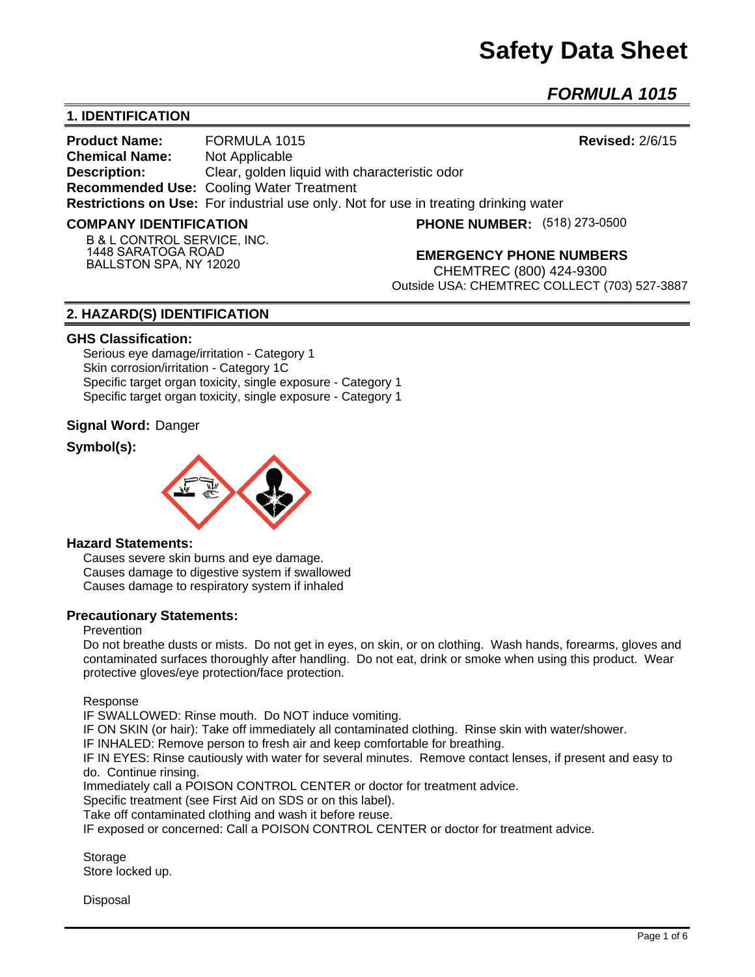# **Safety Data Sheet**

*FORMULA 1015* 

# **1. IDENTIFICATION**

**Product Name:** FORMULA 1015 **Revised:** 2/6/15 **Chemical Name:** Not Applicable **Description:** Clear, golden liquid with characteristic odor **Recommended Use:** Cooling Water Treatment **Restrictions on Use:** For industrial use only. Not for use in treating drinking water

#### **COMPANY IDENTIFICATION**

**PHONE NUMBER:** (518) 273-0500

**B & L CONTROL SERVICE, INC. 1448 SARATOGA ROAD BALLSTON SPA, NY 12020**

**EMERGENCY PHONE NUMBERS**

CHEMTREC (800) 424-9300 Outside USA: CHEMTREC COLLECT (703) 527-3887

## **2. HAZARD(S) IDENTIFICATION**

#### **GHS Classification:**

Serious eye damage/irritation - Category 1 Skin corrosion/irritation - Category 1C Specific target organ toxicity, single exposure - Category 1 Specific target organ toxicity, single exposure - Category 1

## **Signal Word:** Danger

## **Symbol(s):**



#### **Hazard Statements:**

Causes severe skin burns and eye damage. Causes damage to digestive system if swallowed Causes damage to respiratory system if inhaled

#### **Precautionary Statements:**

## Prevention

Do not breathe dusts or mists. Do not get in eyes, on skin, or on clothing. Wash hands, forearms, gloves and contaminated surfaces thoroughly after handling. Do not eat, drink or smoke when using this product. Wear protective gloves/eye protection/face protection.

Response

IF SWALLOWED: Rinse mouth. Do NOT induce vomiting.

IF ON SKIN (or hair): Take off immediately all contaminated clothing. Rinse skin with water/shower.

IF INHALED: Remove person to fresh air and keep comfortable for breathing.

IF IN EYES: Rinse cautiously with water for several minutes. Remove contact lenses, if present and easy to do. Continue rinsing.

Immediately call a POISON CONTROL CENTER or doctor for treatment advice.

Specific treatment (see First Aid on SDS or on this label).

Take off contaminated clothing and wash it before reuse.

IF exposed or concerned: Call a POISON CONTROL CENTER or doctor for treatment advice.

Storage Store locked up.

**Disposal**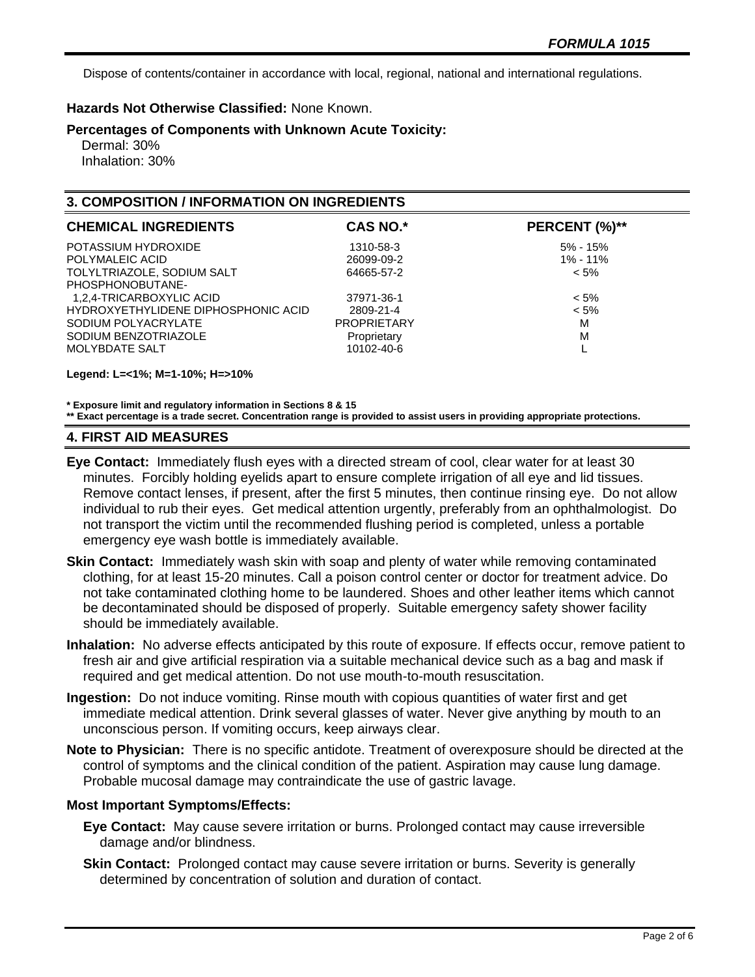Dispose of contents/container in accordance with local, regional, national and international regulations.

## **Hazards Not Otherwise Classified:** None Known.

**Percentages of Components with Unknown Acute Toxicity:** 

 Dermal: 30% Inhalation: 30%

# **3. COMPOSITION / INFORMATION ON INGREDIENTS**

| <b>CHEMICAL INGREDIENTS</b>         | <b>CAS NO.*</b>    | PERCENT (%)** |
|-------------------------------------|--------------------|---------------|
| POTASSIUM HYDROXIDE                 | 1310-58-3          | $5\% - 15\%$  |
| POLYMALEIC ACID                     | 26099-09-2         | $1\% - 11\%$  |
| TOLYLTRIAZOLE, SODIUM SALT          | 64665-57-2         | $< 5\%$       |
| PHOSPHONOBUTANE-                    |                    |               |
| 1,2,4-TRICARBOXYLIC ACID            | 37971-36-1         | $< 5\%$       |
| HYDROXYETHYLIDENE DIPHOSPHONIC ACID | 2809-21-4          | $< 5\%$       |
| SODIUM POLYACRYLATE                 | <b>PROPRIETARY</b> | M             |
| SODIUM BENZOTRIAZOLE                | Proprietary        | M             |
| MOLYBDATE SALT                      | 10102-40-6         |               |
|                                     |                    |               |

**Legend: L=<1%; M=1-10%; H=>10%**

**\* Exposure limit and regulatory information in Sections 8 & 15**

**\*\* Exact percentage is a trade secret. Concentration range is provided to assist users in providing appropriate protections.**

#### **4. FIRST AID MEASURES**

- **Eye Contact:** Immediately flush eyes with a directed stream of cool, clear water for at least 30 minutes. Forcibly holding eyelids apart to ensure complete irrigation of all eye and lid tissues. Remove contact lenses, if present, after the first 5 minutes, then continue rinsing eye. Do not allow individual to rub their eyes. Get medical attention urgently, preferably from an ophthalmologist. Do not transport the victim until the recommended flushing period is completed, unless a portable emergency eye wash bottle is immediately available.
- **Skin Contact:** Immediately wash skin with soap and plenty of water while removing contaminated clothing, for at least 15-20 minutes. Call a poison control center or doctor for treatment advice. Do not take contaminated clothing home to be laundered. Shoes and other leather items which cannot be decontaminated should be disposed of properly. Suitable emergency safety shower facility should be immediately available.
- **Inhalation:** No adverse effects anticipated by this route of exposure. If effects occur, remove patient to fresh air and give artificial respiration via a suitable mechanical device such as a bag and mask if required and get medical attention. Do not use mouth-to-mouth resuscitation.
- **Ingestion:** Do not induce vomiting. Rinse mouth with copious quantities of water first and get immediate medical attention. Drink several glasses of water. Never give anything by mouth to an unconscious person. If vomiting occurs, keep airways clear.
- **Note to Physician:** There is no specific antidote. Treatment of overexposure should be directed at the control of symptoms and the clinical condition of the patient. Aspiration may cause lung damage. Probable mucosal damage may contraindicate the use of gastric lavage.

## **Most Important Symptoms/Effects:**

- **Eye Contact:** May cause severe irritation or burns. Prolonged contact may cause irreversible damage and/or blindness.
- **Skin Contact:** Prolonged contact may cause severe irritation or burns. Severity is generally determined by concentration of solution and duration of contact.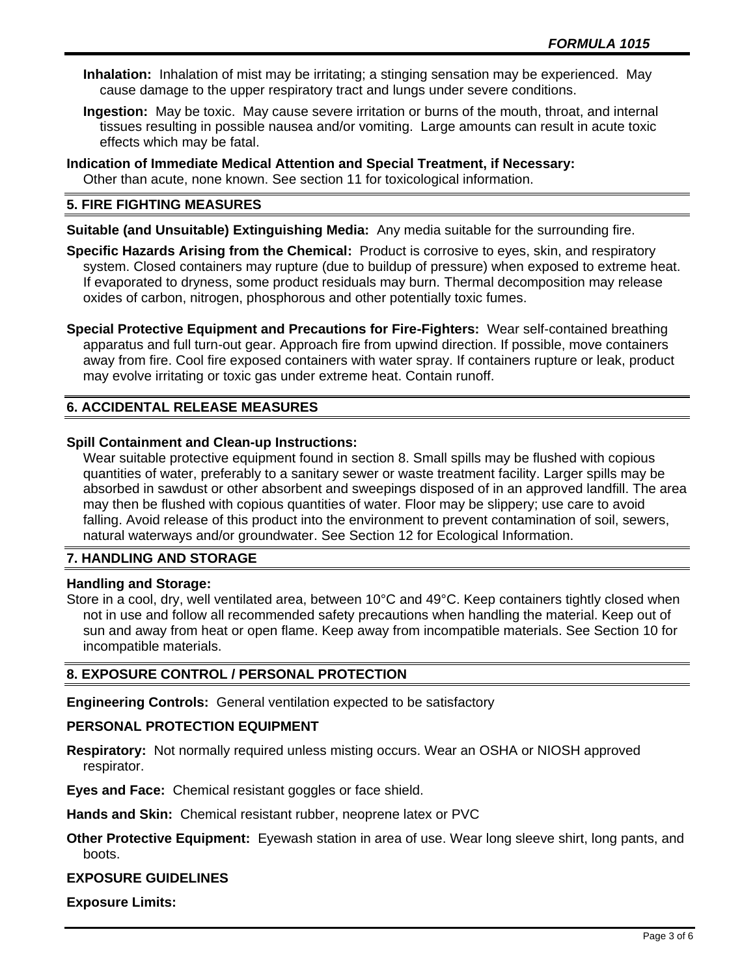- **Inhalation:** Inhalation of mist may be irritating; a stinging sensation may be experienced. May cause damage to the upper respiratory tract and lungs under severe conditions.
- **Ingestion:** May be toxic. May cause severe irritation or burns of the mouth, throat, and internal tissues resulting in possible nausea and/or vomiting. Large amounts can result in acute toxic effects which may be fatal.
- **Indication of Immediate Medical Attention and Special Treatment, if Necessary:** Other than acute, none known. See section 11 for toxicological information.

## **5. FIRE FIGHTING MEASURES**

**Suitable (and Unsuitable) Extinguishing Media:** Any media suitable for the surrounding fire.

**Specific Hazards Arising from the Chemical:** Product is corrosive to eyes, skin, and respiratory system. Closed containers may rupture (due to buildup of pressure) when exposed to extreme heat. If evaporated to dryness, some product residuals may burn. Thermal decomposition may release oxides of carbon, nitrogen, phosphorous and other potentially toxic fumes.

**Special Protective Equipment and Precautions for Fire-Fighters:** Wear self-contained breathing apparatus and full turn-out gear. Approach fire from upwind direction. If possible, move containers away from fire. Cool fire exposed containers with water spray. If containers rupture or leak, product may evolve irritating or toxic gas under extreme heat. Contain runoff.

# **6. ACCIDENTAL RELEASE MEASURES**

## **Spill Containment and Clean-up Instructions:**

Wear suitable protective equipment found in section 8. Small spills may be flushed with copious quantities of water, preferably to a sanitary sewer or waste treatment facility. Larger spills may be absorbed in sawdust or other absorbent and sweepings disposed of in an approved landfill. The area may then be flushed with copious quantities of water. Floor may be slippery; use care to avoid falling. Avoid release of this product into the environment to prevent contamination of soil, sewers, natural waterways and/or groundwater. See Section 12 for Ecological Information.

## **7. HANDLING AND STORAGE**

## **Handling and Storage:**

Store in a cool, dry, well ventilated area, between 10°C and 49°C. Keep containers tightly closed when not in use and follow all recommended safety precautions when handling the material. Keep out of sun and away from heat or open flame. Keep away from incompatible materials. See Section 10 for incompatible materials.

## **8. EXPOSURE CONTROL / PERSONAL PROTECTION**

**Engineering Controls:** General ventilation expected to be satisfactory

## **PERSONAL PROTECTION EQUIPMENT**

**Respiratory:** Not normally required unless misting occurs. Wear an OSHA or NIOSH approved respirator.

**Eyes and Face:** Chemical resistant goggles or face shield.

**Hands and Skin:** Chemical resistant rubber, neoprene latex or PVC

**Other Protective Equipment:** Eyewash station in area of use. Wear long sleeve shirt, long pants, and boots.

#### **EXPOSURE GUIDELINES**

**Exposure Limits:**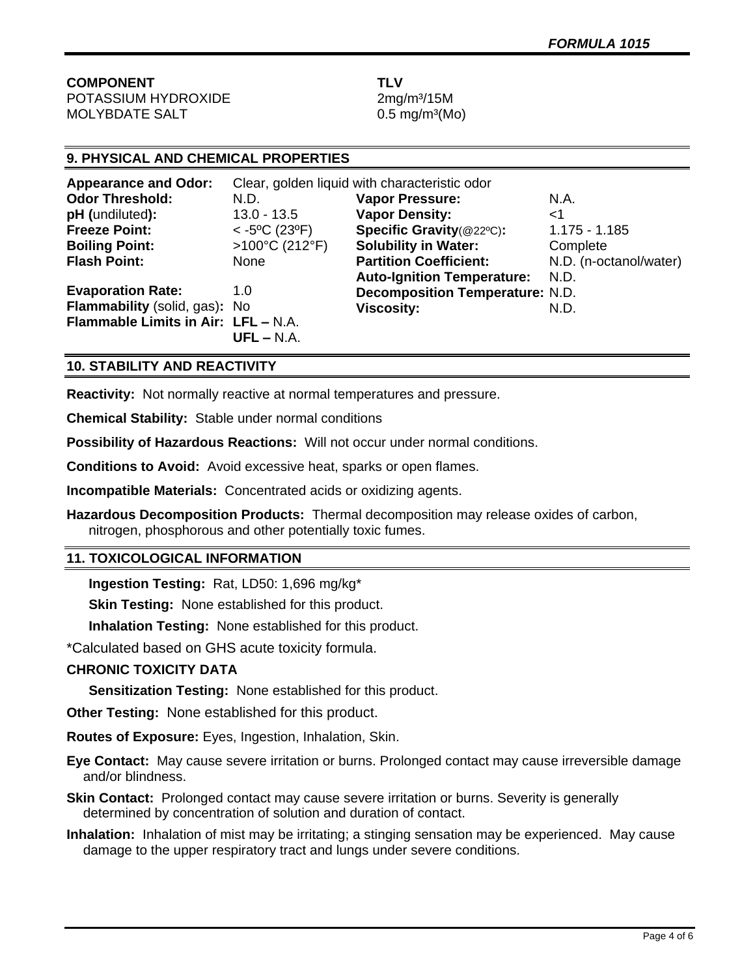**COMPONENT TLV** POTASSIUM HYDROXIDE 2mg/m<sup>3</sup>/15M

 $MOLYBDATE SALT$  0.5 mg/m<sup>3</sup>(Mo)

# **9. PHYSICAL AND CHEMICAL PROPERTIES**

| <b>Appearance and Odor:</b>         | Clear, golden liquid with characteristic odor |                                        |                        |
|-------------------------------------|-----------------------------------------------|----------------------------------------|------------------------|
| <b>Odor Threshold:</b>              | N.D.                                          | <b>Vapor Pressure:</b>                 | N.A.                   |
| pH (undiluted):                     | $13.0 - 13.5$                                 | <b>Vapor Density:</b>                  | ا>                     |
| <b>Freeze Point:</b>                | $<$ -5°C (23°F)                               | Specific Gravity(@22°C):               | $1.175 - 1.185$        |
| <b>Boiling Point:</b>               | >100°C (212°F)                                | <b>Solubility in Water:</b>            | Complete               |
| <b>Flash Point:</b>                 | None                                          | <b>Partition Coefficient:</b>          | N.D. (n-octanol/water) |
|                                     |                                               | <b>Auto-Ignition Temperature:</b>      | N.D.                   |
| <b>Evaporation Rate:</b>            | 1.0                                           | <b>Decomposition Temperature: N.D.</b> |                        |
| Flammability (solid, gas): No       |                                               | <b>Viscosity:</b>                      | N.D.                   |
| Flammable Limits in Air: LFL - N.A. | $UFL - N.A.$                                  |                                        |                        |

## **10. STABILITY AND REACTIVITY**

**Reactivity:** Not normally reactive at normal temperatures and pressure.

**Chemical Stability:** Stable under normal conditions

**Possibility of Hazardous Reactions:** Will not occur under normal conditions.

**Conditions to Avoid:** Avoid excessive heat, sparks or open flames.

**Incompatible Materials:** Concentrated acids or oxidizing agents.

**Hazardous Decomposition Products:** Thermal decomposition may release oxides of carbon, nitrogen, phosphorous and other potentially toxic fumes.

## **11. TOXICOLOGICAL INFORMATION**

**Ingestion Testing:** Rat, LD50: 1,696 mg/kg\*

**Skin Testing:** None established for this product.

**Inhalation Testing:** None established for this product.

\*Calculated based on GHS acute toxicity formula.

## **CHRONIC TOXICITY DATA**

**Sensitization Testing:** None established for this product.

**Other Testing:** None established for this product.

**Routes of Exposure:** Eyes, Ingestion, Inhalation, Skin.

**Eye Contact:** May cause severe irritation or burns. Prolonged contact may cause irreversible damage and/or blindness.

**Skin Contact:** Prolonged contact may cause severe irritation or burns. Severity is generally determined by concentration of solution and duration of contact.

**Inhalation:** Inhalation of mist may be irritating; a stinging sensation may be experienced. May cause damage to the upper respiratory tract and lungs under severe conditions.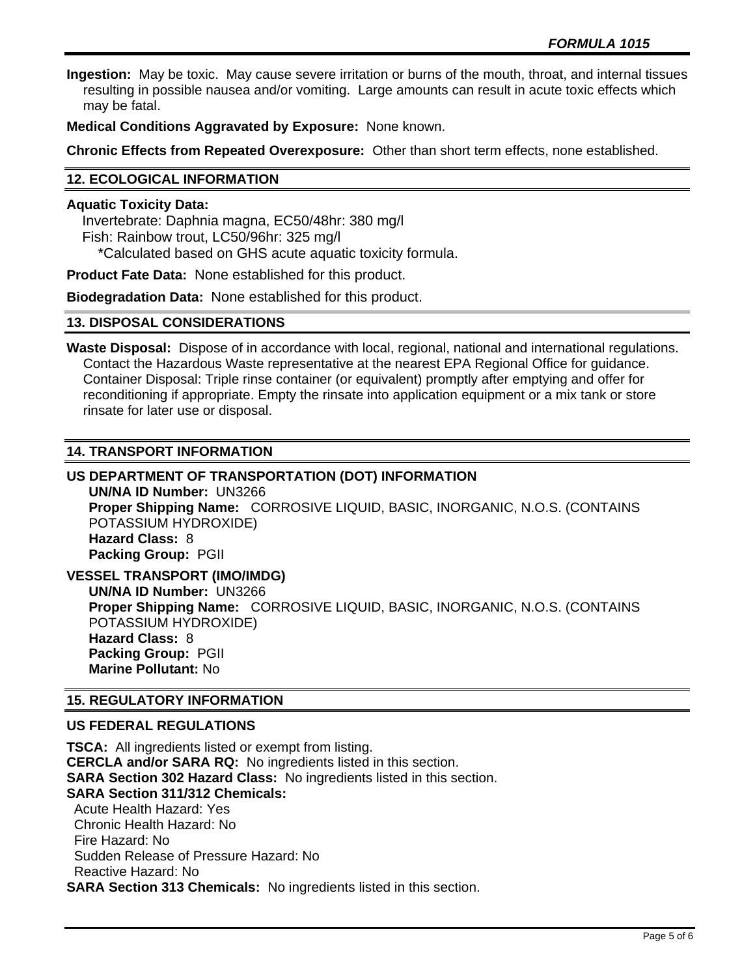**Ingestion:** May be toxic. May cause severe irritation or burns of the mouth, throat, and internal tissues resulting in possible nausea and/or vomiting. Large amounts can result in acute toxic effects which may be fatal.

**Medical Conditions Aggravated by Exposure:** None known.

**Chronic Effects from Repeated Overexposure:** Other than short term effects, none established.

# **12. ECOLOGICAL INFORMATION**

#### **Aquatic Toxicity Data:**

 Invertebrate: Daphnia magna, EC50/48hr: 380 mg/l Fish: Rainbow trout, LC50/96hr: 325 mg/l \*Calculated based on GHS acute aquatic toxicity formula.

**Product Fate Data:** None established for this product.

**Biodegradation Data:** None established for this product.

#### **13. DISPOSAL CONSIDERATIONS**

**Waste Disposal:** Dispose of in accordance with local, regional, national and international regulations. Contact the Hazardous Waste representative at the nearest EPA Regional Office for guidance. Container Disposal: Triple rinse container (or equivalent) promptly after emptying and offer for reconditioning if appropriate. Empty the rinsate into application equipment or a mix tank or store rinsate for later use or disposal.

## **14. TRANSPORT INFORMATION**

# **US DEPARTMENT OF TRANSPORTATION (DOT) INFORMATION**

**UN/NA ID Number:** UN3266 **Proper Shipping Name:** CORROSIVE LIQUID, BASIC, INORGANIC, N.O.S. (CONTAINS POTASSIUM HYDROXIDE) **Hazard Class:** 8 **Packing Group:** PGII

**VESSEL TRANSPORT (IMO/IMDG) UN/NA ID Number:** UN3266 **Proper Shipping Name:** CORROSIVE LIQUID, BASIC, INORGANIC, N.O.S. (CONTAINS POTASSIUM HYDROXIDE) **Hazard Class:** 8 **Packing Group:** PGII **Marine Pollutant:** No

## **15. REGULATORY INFORMATION**

## **US FEDERAL REGULATIONS**

**TSCA:** All ingredients listed or exempt from listing. **CERCLA and/or SARA RQ:** No ingredients listed in this section. **SARA Section 302 Hazard Class:** No ingredients listed in this section. **SARA Section 311/312 Chemicals:**  Acute Health Hazard: Yes Chronic Health Hazard: No Fire Hazard: No Sudden Release of Pressure Hazard: No Reactive Hazard: No **SARA Section 313 Chemicals:** No ingredients listed in this section.